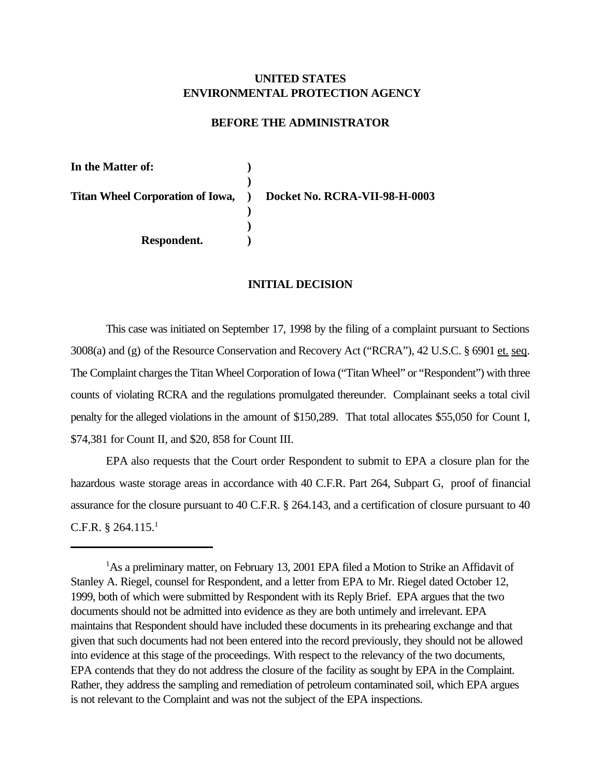# **UNITED STATES ENVIRONMENTAL PROTECTION AGENCY**

## **BEFORE THE ADMINISTRATOR**

**In the Matter of: ) ) Titan Wheel Corporation of Iowa, ) Docket No. RCRA-VII-98-H-0003 ) ) Respondent. )**

#### **INITIAL DECISION**

This case was initiated on September 17, 1998 by the filing of a complaint pursuant to Sections 3008(a) and (g) of the Resource Conservation and Recovery Act ("RCRA"), 42 U.S.C. § 6901 et. seq. The Complaint charges the Titan Wheel Corporation of Iowa ("Titan Wheel" or "Respondent") with three counts of violating RCRA and the regulations promulgated thereunder. Complainant seeks a total civil penalty for the alleged violations in the amount of \$150,289. That total allocates \$55,050 for Count I, \$74,381 for Count II, and \$20, 858 for Count III.

EPA also requests that the Court order Respondent to submit to EPA a closure plan for the hazardous waste storage areas in accordance with 40 C.F.R. Part 264, Subpart G, proof of financial assurance for the closure pursuant to 40 C.F.R. § 264.143, and a certification of closure pursuant to 40 C.F.R.  $§ 264.115.<sup>1</sup>$ 

<sup>&</sup>lt;sup>1</sup>As a preliminary matter, on February 13, 2001 EPA filed a Motion to Strike an Affidavit of Stanley A. Riegel, counsel for Respondent, and a letter from EPA to Mr. Riegel dated October 12, 1999, both of which were submitted by Respondent with its Reply Brief. EPA argues that the two documents should not be admitted into evidence as they are both untimely and irrelevant. EPA maintains that Respondent should have included these documents in its prehearing exchange and that given that such documents had not been entered into the record previously, they should not be allowed into evidence at this stage of the proceedings. With respect to the relevancy of the two documents, EPA contends that they do not address the closure of the facility as sought by EPA in the Complaint. Rather, they address the sampling and remediation of petroleum contaminated soil, which EPA argues is not relevant to the Complaint and was not the subject of the EPA inspections.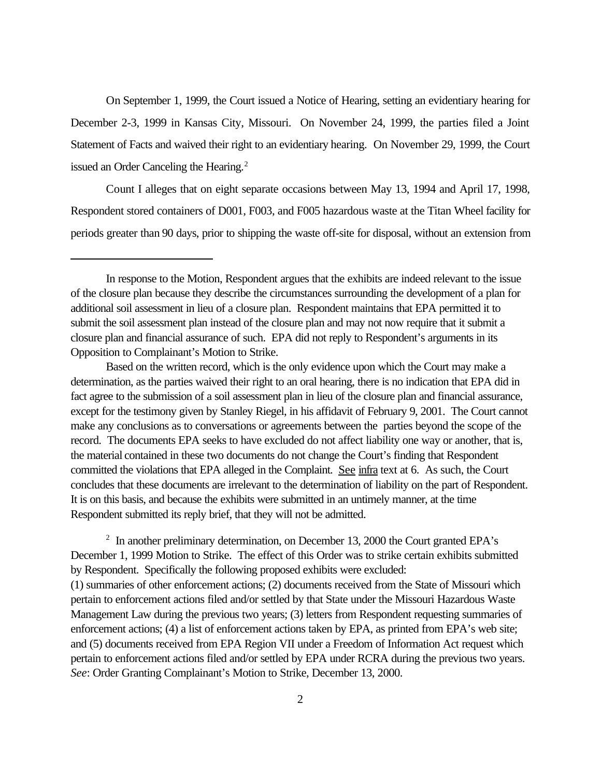On September 1, 1999, the Court issued a Notice of Hearing, setting an evidentiary hearing for December 2-3, 1999 in Kansas City, Missouri. On November 24, 1999, the parties filed a Joint Statement of Facts and waived their right to an evidentiary hearing. On November 29, 1999, the Court issued an Order Canceling the Hearing.<sup>2</sup>

Count I alleges that on eight separate occasions between May 13, 1994 and April 17, 1998, Respondent stored containers of D001, F003, and F005 hazardous waste at the Titan Wheel facility for periods greater than 90 days, prior to shipping the waste off-site for disposal, without an extension from

Based on the written record, which is the only evidence upon which the Court may make a determination, as the parties waived their right to an oral hearing, there is no indication that EPA did in fact agree to the submission of a soil assessment plan in lieu of the closure plan and financial assurance, except for the testimony given by Stanley Riegel, in his affidavit of February 9, 2001. The Court cannot make any conclusions as to conversations or agreements between the parties beyond the scope of the record. The documents EPA seeks to have excluded do not affect liability one way or another, that is, the material contained in these two documents do not change the Court's finding that Respondent committed the violations that EPA alleged in the Complaint. See infra text at 6. As such, the Court concludes that these documents are irrelevant to the determination of liability on the part of Respondent. It is on this basis, and because the exhibits were submitted in an untimely manner, at the time Respondent submitted its reply brief, that they will not be admitted.

<sup>2</sup> In another preliminary determination, on December 13, 2000 the Court granted EPA's December 1, 1999 Motion to Strike. The effect of this Order was to strike certain exhibits submitted by Respondent. Specifically the following proposed exhibits were excluded: (1) summaries of other enforcement actions; (2) documents received from the State of Missouri which pertain to enforcement actions filed and/or settled by that State under the Missouri Hazardous Waste Management Law during the previous two years; (3) letters from Respondent requesting summaries of enforcement actions; (4) a list of enforcement actions taken by EPA, as printed from EPA's web site; and (5) documents received from EPA Region VII under a Freedom of Information Act request which pertain to enforcement actions filed and/or settled by EPA under RCRA during the previous two years. *See*: Order Granting Complainant's Motion to Strike, December 13, 2000.

In response to the Motion, Respondent argues that the exhibits are indeed relevant to the issue of the closure plan because they describe the circumstances surrounding the development of a plan for additional soil assessment in lieu of a closure plan. Respondent maintains that EPA permitted it to submit the soil assessment plan instead of the closure plan and may not now require that it submit a closure plan and financial assurance of such. EPA did not reply to Respondent's arguments in its Opposition to Complainant's Motion to Strike.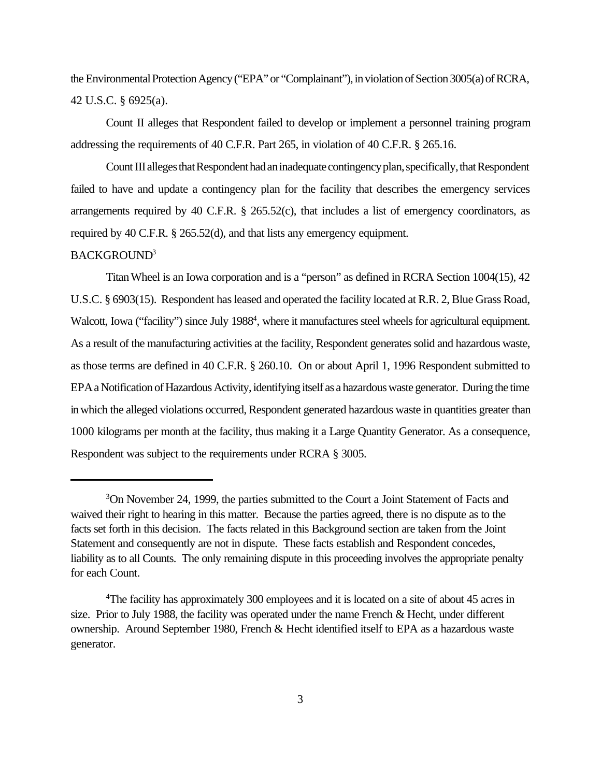the Environmental Protection Agency ("EPA" or "Complainant"), in violation of Section 3005(a) of RCRA, 42 U.S.C. § 6925(a).

Count II alleges that Respondent failed to develop or implement a personnel training program addressing the requirements of 40 C.F.R. Part 265, in violation of 40 C.F.R. § 265.16.

Count III alleges that Respondent had an inadequate contingency plan, specifically, that Respondent failed to have and update a contingency plan for the facility that describes the emergency services arrangements required by 40 C.F.R.  $\S$  265.52(c), that includes a list of emergency coordinators, as required by 40 C.F.R. § 265.52(d), and that lists any emergency equipment.

### BACKGROUND<sup>3</sup>

Titan Wheel is an Iowa corporation and is a "person" as defined in RCRA Section 1004(15), 42 U.S.C. § 6903(15). Respondent has leased and operated the facility located at R.R. 2, Blue Grass Road, Walcott, Iowa ("facility") since July 1988<sup>4</sup>, where it manufactures steel wheels for agricultural equipment. As a result of the manufacturing activities at the facility, Respondent generates solid and hazardous waste, as those terms are defined in 40 C.F.R. § 260.10. On or about April 1, 1996 Respondent submitted to EPA a Notification of Hazardous Activity, identifying itself as a hazardous waste generator. During the time in which the alleged violations occurred, Respondent generated hazardous waste in quantities greater than 1000 kilograms per month at the facility, thus making it a Large Quantity Generator. As a consequence, Respondent was subject to the requirements under RCRA § 3005.

<sup>3</sup>On November 24, 1999, the parties submitted to the Court a Joint Statement of Facts and waived their right to hearing in this matter. Because the parties agreed, there is no dispute as to the facts set forth in this decision. The facts related in this Background section are taken from the Joint Statement and consequently are not in dispute. These facts establish and Respondent concedes, liability as to all Counts. The only remaining dispute in this proceeding involves the appropriate penalty for each Count.

<sup>&</sup>lt;sup>4</sup>The facility has approximately 300 employees and it is located on a site of about 45 acres in size. Prior to July 1988, the facility was operated under the name French & Hecht, under different ownership. Around September 1980, French & Hecht identified itself to EPA as a hazardous waste generator.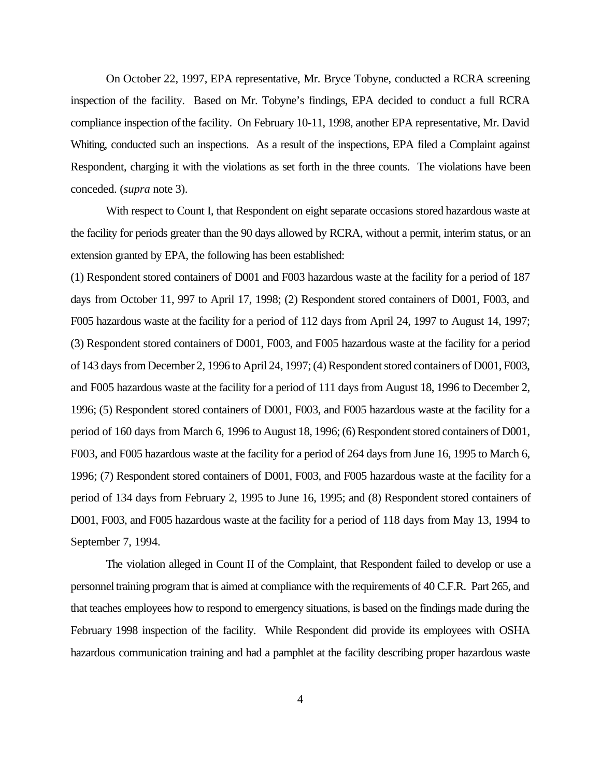On October 22, 1997, EPA representative, Mr. Bryce Tobyne, conducted a RCRA screening inspection of the facility. Based on Mr. Tobyne's findings, EPA decided to conduct a full RCRA compliance inspection of the facility. On February 10-11, 1998, another EPA representative, Mr. David Whiting, conducted such an inspections. As a result of the inspections, EPA filed a Complaint against Respondent, charging it with the violations as set forth in the three counts. The violations have been conceded. (*supra* note 3).

With respect to Count I, that Respondent on eight separate occasions stored hazardous waste at the facility for periods greater than the 90 days allowed by RCRA, without a permit, interim status, or an extension granted by EPA, the following has been established:

(1) Respondent stored containers of D001 and F003 hazardous waste at the facility for a period of 187 days from October 11, 997 to April 17, 1998; (2) Respondent stored containers of D001, F003, and F005 hazardous waste at the facility for a period of 112 days from April 24, 1997 to August 14, 1997; (3) Respondent stored containers of D001, F003, and F005 hazardous waste at the facility for a period of 143 days from December 2, 1996 to April 24, 1997; (4) Respondent stored containers of D001, F003, and F005 hazardous waste at the facility for a period of 111 days from August 18, 1996 to December 2, 1996; (5) Respondent stored containers of D001, F003, and F005 hazardous waste at the facility for a period of 160 days from March 6, 1996 to August 18, 1996; (6) Respondent stored containers of D001, F003, and F005 hazardous waste at the facility for a period of 264 days from June 16, 1995 to March 6, 1996; (7) Respondent stored containers of D001, F003, and F005 hazardous waste at the facility for a period of 134 days from February 2, 1995 to June 16, 1995; and (8) Respondent stored containers of D001, F003, and F005 hazardous waste at the facility for a period of 118 days from May 13, 1994 to September 7, 1994.

The violation alleged in Count II of the Complaint, that Respondent failed to develop or use a personnel training program that is aimed at compliance with the requirements of 40 C.F.R. Part 265, and that teaches employees how to respond to emergency situations, is based on the findings made during the February 1998 inspection of the facility. While Respondent did provide its employees with OSHA hazardous communication training and had a pamphlet at the facility describing proper hazardous waste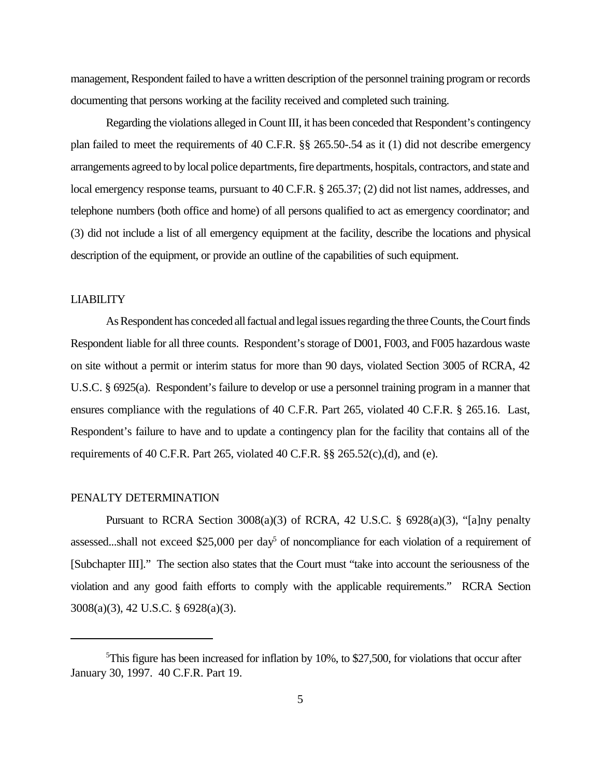management, Respondent failed to have a written description of the personnel training program or records documenting that persons working at the facility received and completed such training.

Regarding the violations alleged in Count III, it has been conceded that Respondent's contingency plan failed to meet the requirements of 40 C.F.R. §§ 265.50-.54 as it (1) did not describe emergency arrangements agreed to by local police departments, fire departments, hospitals, contractors, and state and local emergency response teams, pursuant to 40 C.F.R. § 265.37; (2) did not list names, addresses, and telephone numbers (both office and home) of all persons qualified to act as emergency coordinator; and (3) did not include a list of all emergency equipment at the facility, describe the locations and physical description of the equipment, or provide an outline of the capabilities of such equipment.

### LIABILITY

As Respondent has conceded all factual and legal issues regarding the three Counts, the Court finds Respondent liable for all three counts. Respondent's storage of D001, F003, and F005 hazardous waste on site without a permit or interim status for more than 90 days, violated Section 3005 of RCRA, 42 U.S.C. § 6925(a). Respondent's failure to develop or use a personnel training program in a manner that ensures compliance with the regulations of 40 C.F.R. Part 265, violated 40 C.F.R. § 265.16. Last, Respondent's failure to have and to update a contingency plan for the facility that contains all of the requirements of 40 C.F.R. Part 265, violated 40 C.F.R.  $\S$ § 265.52(c),(d), and (e).

#### PENALTY DETERMINATION

Pursuant to RCRA Section  $3008(a)(3)$  of RCRA, 42 U.S.C. § 6928(a)(3), "[a]ny penalty assessed...shall not exceed \$25,000 per day<sup>5</sup> of noncompliance for each violation of a requirement of [Subchapter III]." The section also states that the Court must "take into account the seriousness of the violation and any good faith efforts to comply with the applicable requirements." RCRA Section 3008(a)(3), 42 U.S.C. § 6928(a)(3).

 $5$ This figure has been increased for inflation by 10%, to \$27,500, for violations that occur after January 30, 1997. 40 C.F.R. Part 19.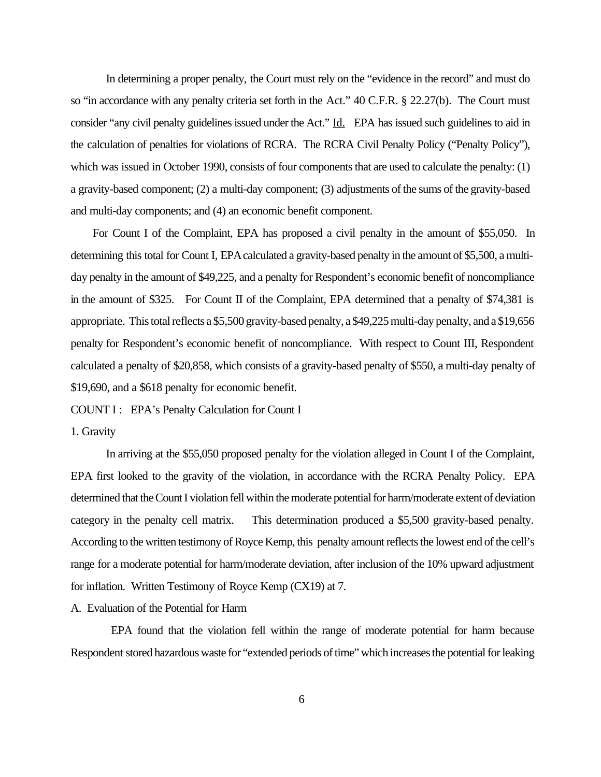In determining a proper penalty, the Court must rely on the "evidence in the record" and must do so "in accordance with any penalty criteria set forth in the Act." 40 C.F.R. § 22.27(b). The Court must consider "any civil penalty guidelines issued under the Act." Id. EPA has issued such guidelines to aid in the calculation of penalties for violations of RCRA. The RCRA Civil Penalty Policy ("Penalty Policy"), which was issued in October 1990, consists of four components that are used to calculate the penalty: (1) a gravity-based component; (2) a multi-day component; (3) adjustments of the sums of the gravity-based and multi-day components; and (4) an economic benefit component.

 For Count I of the Complaint, EPA has proposed a civil penalty in the amount of \$55,050. In determining this total for Count I, EPA calculated a gravity-based penalty in the amount of \$5,500, a multiday penalty in the amount of \$49,225, and a penalty for Respondent's economic benefit of noncompliance in the amount of \$325. For Count II of the Complaint, EPA determined that a penalty of \$74,381 is appropriate. This total reflects a \$5,500 gravity-based penalty, a \$49,225 multi-day penalty, and a \$19,656 penalty for Respondent's economic benefit of noncompliance. With respect to Count III, Respondent calculated a penalty of \$20,858, which consists of a gravity-based penalty of \$550, a multi-day penalty of \$19,690, and a \$618 penalty for economic benefit.

COUNT I : EPA's Penalty Calculation for Count I

#### 1. Gravity

In arriving at the \$55,050 proposed penalty for the violation alleged in Count I of the Complaint, EPA first looked to the gravity of the violation, in accordance with the RCRA Penalty Policy. EPA determined that the Count I violation fell within the moderate potential for harm/moderate extent of deviation category in the penalty cell matrix. This determination produced a \$5,500 gravity-based penalty. According to the written testimony of Royce Kemp, this penalty amount reflects the lowest end of the cell's range for a moderate potential for harm/moderate deviation, after inclusion of the 10% upward adjustment for inflation. Written Testimony of Royce Kemp (CX19) at 7.

A. Evaluation of the Potential for Harm

 EPA found that the violation fell within the range of moderate potential for harm because Respondent stored hazardous waste for "extended periods of time" which increases the potential for leaking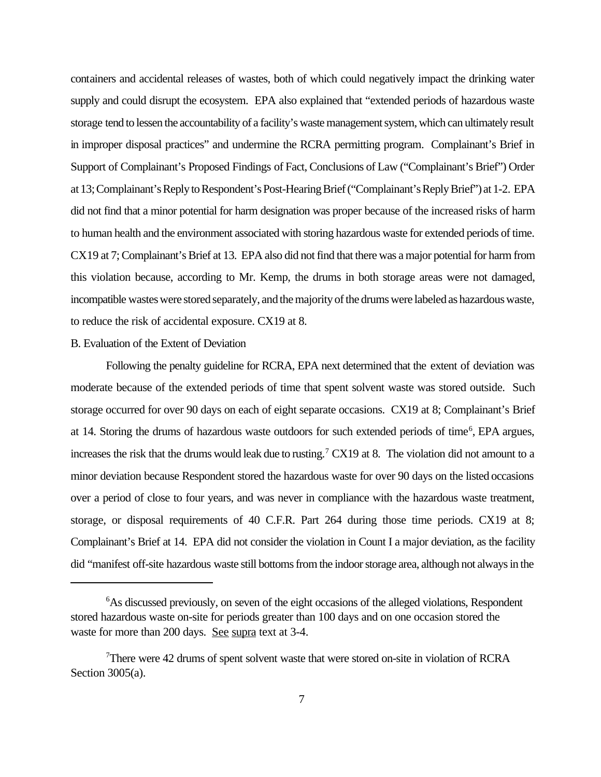containers and accidental releases of wastes, both of which could negatively impact the drinking water supply and could disrupt the ecosystem. EPA also explained that "extended periods of hazardous waste storage tend to lessen the accountability of a facility's waste management system, which can ultimately result in improper disposal practices" and undermine the RCRA permitting program. Complainant's Brief in Support of Complainant's Proposed Findings of Fact, Conclusions of Law ("Complainant's Brief") Order at 13; Complainant's Reply to Respondent's Post-Hearing Brief ("Complainant's Reply Brief") at 1-2. EPA did not find that a minor potential for harm designation was proper because of the increased risks of harm to human health and the environment associated with storing hazardous waste for extended periods of time. CX19 at 7; Complainant's Brief at 13. EPA also did not find that there was a major potential for harm from this violation because, according to Mr. Kemp, the drums in both storage areas were not damaged, incompatible wastes were stored separately, and the majority of the drums were labeled as hazardous waste, to reduce the risk of accidental exposure. CX19 at 8.

#### B. Evaluation of the Extent of Deviation

Following the penalty guideline for RCRA, EPA next determined that the extent of deviation was moderate because of the extended periods of time that spent solvent waste was stored outside. Such storage occurred for over 90 days on each of eight separate occasions. CX19 at 8; Complainant's Brief at 14. Storing the drums of hazardous waste outdoors for such extended periods of time<sup>6</sup>, EPA argues, increases the risk that the drums would leak due to rusting.<sup>7</sup> CX19 at 8. The violation did not amount to a minor deviation because Respondent stored the hazardous waste for over 90 days on the listed occasions over a period of close to four years, and was never in compliance with the hazardous waste treatment, storage, or disposal requirements of 40 C.F.R. Part 264 during those time periods. CX19 at 8; Complainant's Brief at 14. EPA did not consider the violation in Count I a major deviation, as the facility did "manifest off-site hazardous waste still bottoms from the indoor storage area, although not always in the

<sup>6</sup>As discussed previously, on seven of the eight occasions of the alleged violations, Respondent stored hazardous waste on-site for periods greater than 100 days and on one occasion stored the waste for more than 200 days. See supra text at 3-4.

<sup>&</sup>lt;sup>7</sup>There were 42 drums of spent solvent waste that were stored on-site in violation of RCRA Section  $3005(a)$ .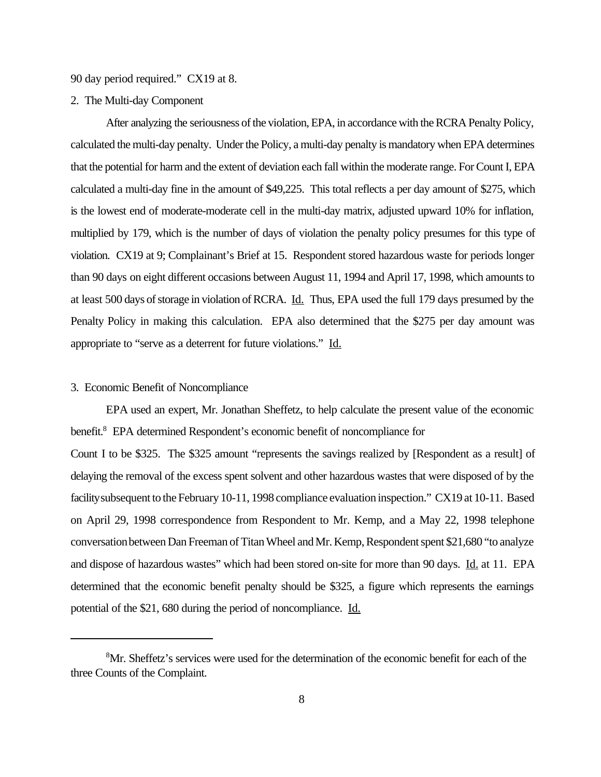90 day period required." CX19 at 8.

2. The Multi-day Component

After analyzing the seriousness of the violation, EPA, in accordance with the RCRA Penalty Policy, calculated the multi-day penalty. Under the Policy, a multi-day penalty is mandatory when EPA determines that the potential for harm and the extent of deviation each fall within the moderate range. For Count I, EPA calculated a multi-day fine in the amount of \$49,225. This total reflects a per day amount of \$275, which is the lowest end of moderate-moderate cell in the multi-day matrix, adjusted upward 10% for inflation, multiplied by 179, which is the number of days of violation the penalty policy presumes for this type of violation. CX19 at 9; Complainant's Brief at 15. Respondent stored hazardous waste for periods longer than 90 days on eight different occasions between August 11, 1994 and April 17, 1998, which amounts to at least 500 days of storage in violation of RCRA. Id. Thus, EPA used the full 179 days presumed by the Penalty Policy in making this calculation. EPA also determined that the \$275 per day amount was appropriate to "serve as a deterrent for future violations." Id.

### 3. Economic Benefit of Noncompliance

EPA used an expert, Mr. Jonathan Sheffetz, to help calculate the present value of the economic benefit.<sup>8</sup> EPA determined Respondent's economic benefit of noncompliance for Count I to be \$325. The \$325 amount "represents the savings realized by [Respondent as a result] of delaying the removal of the excess spent solvent and other hazardous wastes that were disposed of by the facility subsequent to the February 10-11, 1998 compliance evaluation inspection." CX19 at 10-11. Based on April 29, 1998 correspondence from Respondent to Mr. Kemp, and a May 22, 1998 telephone conversation between Dan Freeman of Titan Wheel and Mr. Kemp, Respondent spent \$21,680 "to analyze and dispose of hazardous wastes" which had been stored on-site for more than 90 days. Id. at 11. EPA determined that the economic benefit penalty should be \$325, a figure which represents the earnings potential of the \$21, 680 during the period of noncompliance. Id.

<sup>&</sup>lt;sup>8</sup>Mr. Sheffetz's services were used for the determination of the economic benefit for each of the three Counts of the Complaint.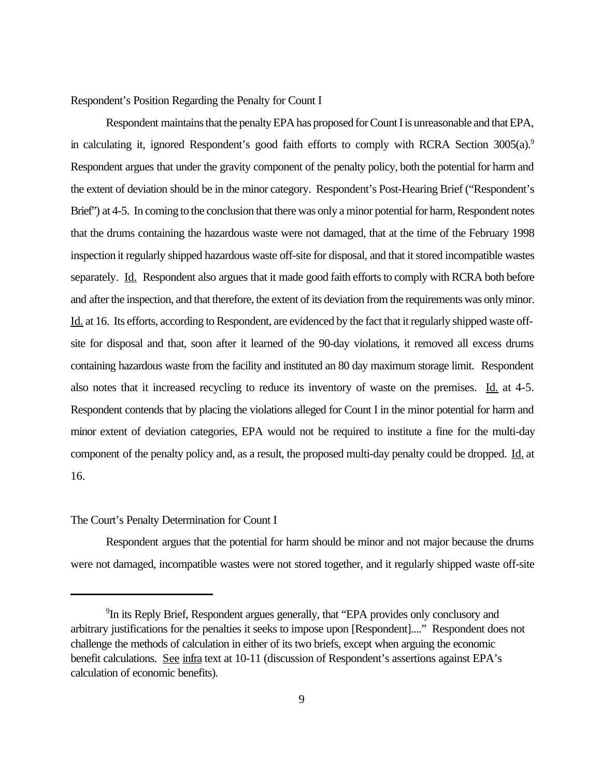Respondent's Position Regarding the Penalty for Count I

Respondent maintains that the penalty EPA has proposed for Count I is unreasonable and that EPA, in calculating it, ignored Respondent's good faith efforts to comply with RCRA Section 3005(a).<sup>9</sup> Respondent argues that under the gravity component of the penalty policy, both the potential for harm and the extent of deviation should be in the minor category. Respondent's Post-Hearing Brief ("Respondent's Brief") at 4-5. In coming to the conclusion that there was only a minor potential for harm, Respondent notes that the drums containing the hazardous waste were not damaged, that at the time of the February 1998 inspection it regularly shipped hazardous waste off-site for disposal, and that it stored incompatible wastes separately. Id. Respondent also argues that it made good faith efforts to comply with RCRA both before and after the inspection, and that therefore, the extent of its deviation from the requirements was only minor. Id. at 16. Its efforts, according to Respondent, are evidenced by the fact that it regularly shipped waste offsite for disposal and that, soon after it learned of the 90-day violations, it removed all excess drums containing hazardous waste from the facility and instituted an 80 day maximum storage limit. Respondent also notes that it increased recycling to reduce its inventory of waste on the premises. Id. at 4-5. Respondent contends that by placing the violations alleged for Count I in the minor potential for harm and minor extent of deviation categories, EPA would not be required to institute a fine for the multi-day component of the penalty policy and, as a result, the proposed multi-day penalty could be dropped. Id. at 16.

### The Court's Penalty Determination for Count I

Respondent argues that the potential for harm should be minor and not major because the drums were not damaged, incompatible wastes were not stored together, and it regularly shipped waste off-site

<sup>&</sup>lt;sup>9</sup>In its Reply Brief, Respondent argues generally, that "EPA provides only conclusory and arbitrary justifications for the penalties it seeks to impose upon [Respondent]...." Respondent does not challenge the methods of calculation in either of its two briefs, except when arguing the economic benefit calculations. See infra text at 10-11 (discussion of Respondent's assertions against EPA's calculation of economic benefits).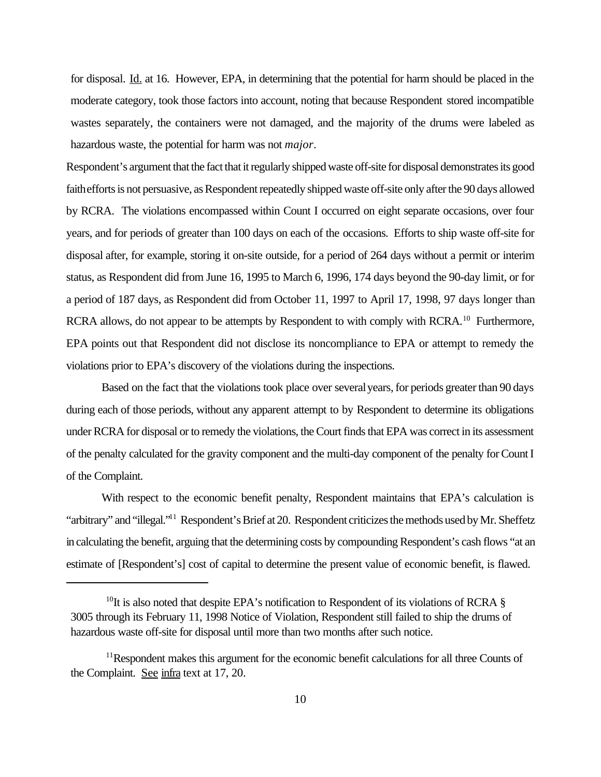for disposal. Id. at 16. However, EPA, in determining that the potential for harm should be placed in the moderate category, took those factors into account, noting that because Respondent stored incompatible wastes separately, the containers were not damaged, and the majority of the drums were labeled as hazardous waste, the potential for harm was not *major*.

Respondent's argument that the fact that it regularly shipped waste off-site for disposal demonstrates its good faith efforts is not persuasive, as Respondent repeatedly shipped waste off-site only after the 90 days allowed by RCRA. The violations encompassed within Count I occurred on eight separate occasions, over four years, and for periods of greater than 100 days on each of the occasions. Efforts to ship waste off-site for disposal after, for example, storing it on-site outside, for a period of 264 days without a permit or interim status, as Respondent did from June 16, 1995 to March 6, 1996, 174 days beyond the 90-day limit, or for a period of 187 days, as Respondent did from October 11, 1997 to April 17, 1998, 97 days longer than RCRA allows, do not appear to be attempts by Respondent to with comply with RCRA.<sup>10</sup> Furthermore, EPA points out that Respondent did not disclose its noncompliance to EPA or attempt to remedy the violations prior to EPA's discovery of the violations during the inspections.

Based on the fact that the violations took place over several years, for periods greater than 90 days during each of those periods, without any apparent attempt to by Respondent to determine its obligations under RCRA for disposal or to remedy the violations, the Court finds that EPA was correct in its assessment of the penalty calculated for the gravity component and the multi-day component of the penalty for Count I of the Complaint.

With respect to the economic benefit penalty, Respondent maintains that EPA's calculation is "arbitrary" and "illegal."<sup>11</sup> Respondent's Brief at 20. Respondent criticizes the methods used by Mr. Sheffetz in calculating the benefit, arguing that the determining costs by compounding Respondent's cash flows "at an estimate of [Respondent's] cost of capital to determine the present value of economic benefit, is flawed.

<sup>&</sup>lt;sup>10</sup>It is also noted that despite EPA's notification to Respondent of its violations of RCRA  $\S$ 3005 through its February 11, 1998 Notice of Violation, Respondent still failed to ship the drums of hazardous waste off-site for disposal until more than two months after such notice.

<sup>&</sup>lt;sup>11</sup>Respondent makes this argument for the economic benefit calculations for all three Counts of the Complaint. See infra text at 17, 20.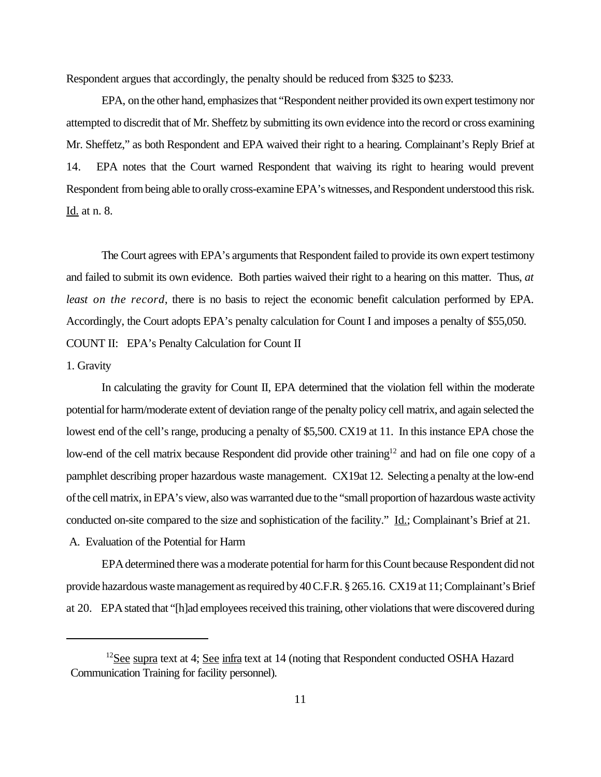Respondent argues that accordingly, the penalty should be reduced from \$325 to \$233.

EPA, on the other hand, emphasizes that "Respondent neither provided its own expert testimony nor attempted to discredit that of Mr. Sheffetz by submitting its own evidence into the record or cross examining Mr. Sheffetz," as both Respondent and EPA waived their right to a hearing. Complainant's Reply Brief at 14. EPA notes that the Court warned Respondent that waiving its right to hearing would prevent Respondent from being able to orally cross-examine EPA's witnesses, and Respondent understood this risk. Id. at n. 8.

The Court agrees with EPA's arguments that Respondent failed to provide its own expert testimony and failed to submit its own evidence. Both parties waived their right to a hearing on this matter. Thus, *at least on the record*, there is no basis to reject the economic benefit calculation performed by EPA. Accordingly, the Court adopts EPA's penalty calculation for Count I and imposes a penalty of \$55,050. COUNT II: EPA's Penalty Calculation for Count II

#### 1. Gravity

In calculating the gravity for Count II, EPA determined that the violation fell within the moderate potential for harm/moderate extent of deviation range of the penalty policy cell matrix, and again selected the lowest end of the cell's range, producing a penalty of \$5,500. CX19 at 11. In this instance EPA chose the low-end of the cell matrix because Respondent did provide other training<sup>12</sup> and had on file one copy of a pamphlet describing proper hazardous waste management. CX19at 12. Selecting a penalty at the low-end of the cell matrix, in EPA's view, also was warranted due to the "small proportion of hazardous waste activity conducted on-site compared to the size and sophistication of the facility." Id.; Complainant's Brief at 21.

A. Evaluation of the Potential for Harm

EPA determined there was a moderate potential for harm for this Count because Respondent did not provide hazardous waste management as required by 40 C.F.R. § 265.16. CX19 at 11; Complainant's Brief at 20. EPA stated that "[h]ad employees received this training, other violations that were discovered during

 $12$ See supra text at 4; See infra text at 14 (noting that Respondent conducted OSHA Hazard Communication Training for facility personnel).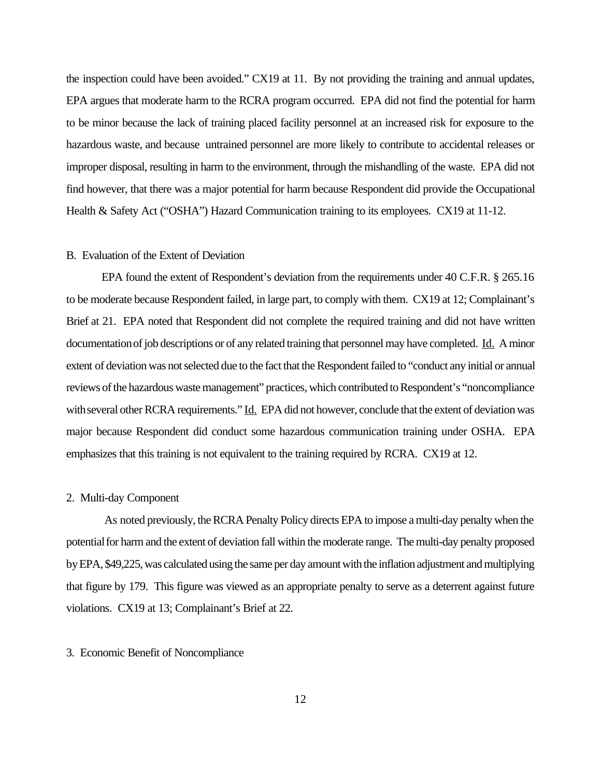the inspection could have been avoided." CX19 at 11. By not providing the training and annual updates, EPA argues that moderate harm to the RCRA program occurred. EPA did not find the potential for harm to be minor because the lack of training placed facility personnel at an increased risk for exposure to the hazardous waste, and because untrained personnel are more likely to contribute to accidental releases or improper disposal, resulting in harm to the environment, through the mishandling of the waste. EPA did not find however, that there was a major potential for harm because Respondent did provide the Occupational Health & Safety Act ("OSHA") Hazard Communication training to its employees. CX19 at 11-12.

#### B. Evaluation of the Extent of Deviation

EPA found the extent of Respondent's deviation from the requirements under 40 C.F.R. § 265.16 to be moderate because Respondent failed, in large part, to comply with them. CX19 at 12; Complainant's Brief at 21. EPA noted that Respondent did not complete the required training and did not have written documentation of job descriptions or of any related training that personnel may have completed. Id. A minor extent of deviation was not selected due to the fact that the Respondent failed to "conduct any initial or annual reviews of the hazardous waste management" practices, which contributed to Respondent's "noncompliance with several other RCRA requirements." Id. EPA did not however, conclude that the extent of deviation was major because Respondent did conduct some hazardous communication training under OSHA. EPA emphasizes that this training is not equivalent to the training required by RCRA. CX19 at 12.

### 2. Multi-day Component

 As noted previously, the RCRA Penalty Policy directs EPA to impose a multi-day penalty when the potential for harm and the extent of deviation fall within the moderate range. The multi-day penalty proposed by EPA, \$49,225, was calculated using the same per day amount with the inflation adjustment and multiplying that figure by 179. This figure was viewed as an appropriate penalty to serve as a deterrent against future violations. CX19 at 13; Complainant's Brief at 22.

### 3. Economic Benefit of Noncompliance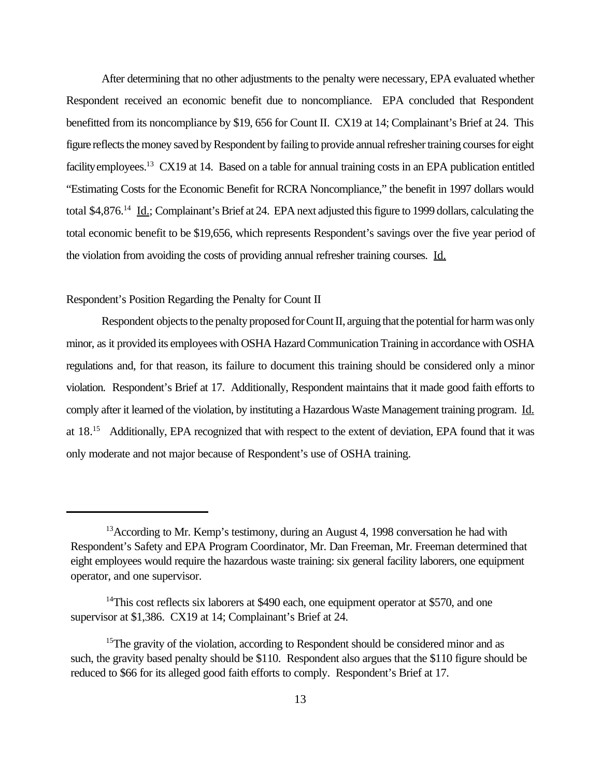After determining that no other adjustments to the penalty were necessary, EPA evaluated whether Respondent received an economic benefit due to noncompliance. EPA concluded that Respondent benefitted from its noncompliance by \$19, 656 for Count II. CX19 at 14; Complainant's Brief at 24. This figure reflects the money saved by Respondent by failing to provide annual refresher training courses for eight facility employees.<sup>13</sup> CX19 at 14. Based on a table for annual training costs in an EPA publication entitled "Estimating Costs for the Economic Benefit for RCRA Noncompliance," the benefit in 1997 dollars would total \$4,876.<sup>14</sup> Id.; Complainant's Brief at 24. EPA next adjusted this figure to 1999 dollars, calculating the total economic benefit to be \$19,656, which represents Respondent's savings over the five year period of the violation from avoiding the costs of providing annual refresher training courses. Id.

## Respondent's Position Regarding the Penalty for Count II

Respondent objects to the penalty proposed for Count II, arguing that the potential for harm was only minor, as it provided its employees with OSHA Hazard Communication Training in accordance with OSHA regulations and, for that reason, its failure to document this training should be considered only a minor violation. Respondent's Brief at 17. Additionally, Respondent maintains that it made good faith efforts to comply after it learned of the violation, by instituting a Hazardous Waste Management training program. Id. at 18.<sup>15</sup> Additionally, EPA recognized that with respect to the extent of deviation, EPA found that it was only moderate and not major because of Respondent's use of OSHA training.

<sup>&</sup>lt;sup>13</sup> According to Mr. Kemp's testimony, during an August 4, 1998 conversation he had with Respondent's Safety and EPA Program Coordinator, Mr. Dan Freeman, Mr. Freeman determined that eight employees would require the hazardous waste training: six general facility laborers, one equipment operator, and one supervisor.

 $14$ This cost reflects six laborers at \$490 each, one equipment operator at \$570, and one supervisor at \$1,386. CX19 at 14; Complainant's Brief at 24.

<sup>&</sup>lt;sup>15</sup>The gravity of the violation, according to Respondent should be considered minor and as such, the gravity based penalty should be \$110. Respondent also argues that the \$110 figure should be reduced to \$66 for its alleged good faith efforts to comply. Respondent's Brief at 17.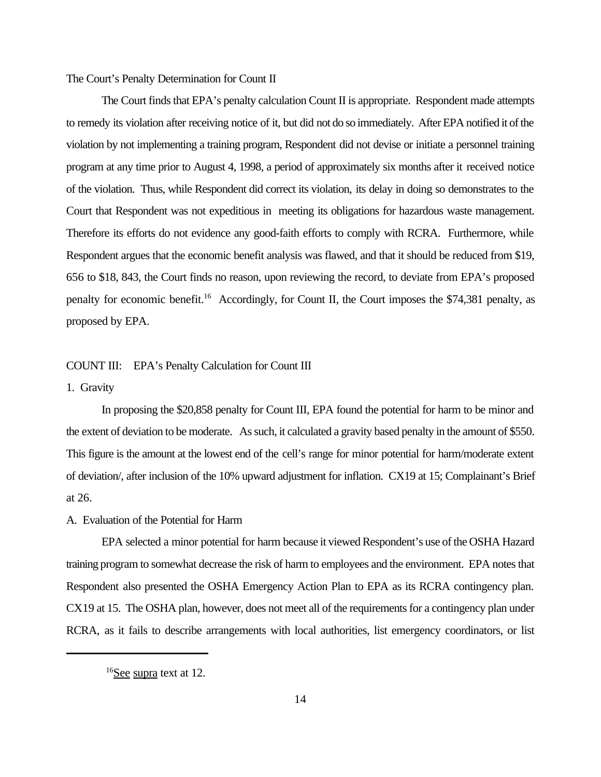The Court's Penalty Determination for Count II

The Court finds that EPA's penalty calculation Count II is appropriate. Respondent made attempts to remedy its violation after receiving notice of it, but did not do so immediately. After EPA notified it of the violation by not implementing a training program, Respondent did not devise or initiate a personnel training program at any time prior to August 4, 1998, a period of approximately six months after it received notice of the violation. Thus, while Respondent did correct its violation, its delay in doing so demonstrates to the Court that Respondent was not expeditious in meeting its obligations for hazardous waste management. Therefore its efforts do not evidence any good-faith efforts to comply with RCRA. Furthermore, while Respondent argues that the economic benefit analysis was flawed, and that it should be reduced from \$19, 656 to \$18, 843, the Court finds no reason, upon reviewing the record, to deviate from EPA's proposed penalty for economic benefit.<sup>16</sup> Accordingly, for Count II, the Court imposes the \$74,381 penalty, as proposed by EPA.

#### COUNT III: EPA's Penalty Calculation for Count III

### 1. Gravity

In proposing the \$20,858 penalty for Count III, EPA found the potential for harm to be minor and the extent of deviation to be moderate. As such, it calculated a gravity based penalty in the amount of \$550. This figure is the amount at the lowest end of the cell's range for minor potential for harm/moderate extent of deviation/, after inclusion of the 10% upward adjustment for inflation. CX19 at 15; Complainant's Brief at 26.

# A. Evaluation of the Potential for Harm

EPA selected a minor potential for harm because it viewed Respondent's use of the OSHA Hazard training program to somewhat decrease the risk of harm to employees and the environment. EPA notes that Respondent also presented the OSHA Emergency Action Plan to EPA as its RCRA contingency plan. CX19 at 15. The OSHA plan, however, does not meet all of the requirements for a contingency plan under RCRA, as it fails to describe arrangements with local authorities, list emergency coordinators, or list

<sup>&</sup>lt;sup>16</sup>See supra text at 12.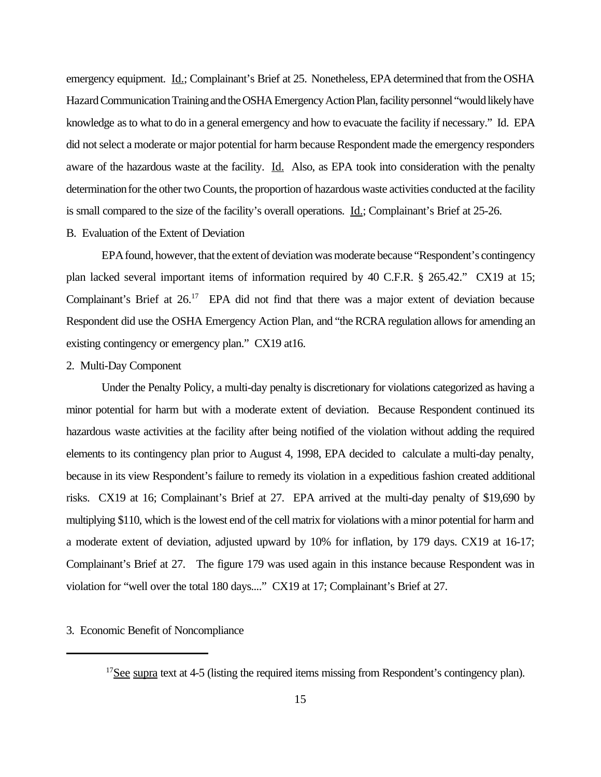emergency equipment. Id.; Complainant's Brief at 25. Nonetheless, EPA determined that from the OSHA Hazard Communication Training and the OSHA Emergency Action Plan, facility personnel "would likely have knowledge as to what to do in a general emergency and how to evacuate the facility if necessary." Id. EPA did not select a moderate or major potential for harm because Respondent made the emergency responders aware of the hazardous waste at the facility. Id. Also, as EPA took into consideration with the penalty determination for the other two Counts, the proportion of hazardous waste activities conducted at the facility is small compared to the size of the facility's overall operations. Id.; Complainant's Brief at 25-26.

# B. Evaluation of the Extent of Deviation

EPA found, however, that the extent of deviation was moderate because "Respondent's contingency plan lacked several important items of information required by 40 C.F.R. § 265.42." CX19 at 15; Complainant's Brief at  $26<sup>17</sup>$  EPA did not find that there was a major extent of deviation because Respondent did use the OSHA Emergency Action Plan, and "the RCRA regulation allows for amending an existing contingency or emergency plan." CX19 at16.

#### 2. Multi-Day Component

Under the Penalty Policy, a multi-day penalty is discretionary for violations categorized as having a minor potential for harm but with a moderate extent of deviation. Because Respondent continued its hazardous waste activities at the facility after being notified of the violation without adding the required elements to its contingency plan prior to August 4, 1998, EPA decided to calculate a multi-day penalty, because in its view Respondent's failure to remedy its violation in a expeditious fashion created additional risks. CX19 at 16; Complainant's Brief at 27. EPA arrived at the multi-day penalty of \$19,690 by multiplying \$110, which is the lowest end of the cell matrix for violations with a minor potential for harm and a moderate extent of deviation, adjusted upward by 10% for inflation, by 179 days. CX19 at 16-17; Complainant's Brief at 27. The figure 179 was used again in this instance because Respondent was in violation for "well over the total 180 days...." CX19 at 17; Complainant's Brief at 27.

# 3. Economic Benefit of Noncompliance

 $17$ See supra text at 4-5 (listing the required items missing from Respondent's contingency plan).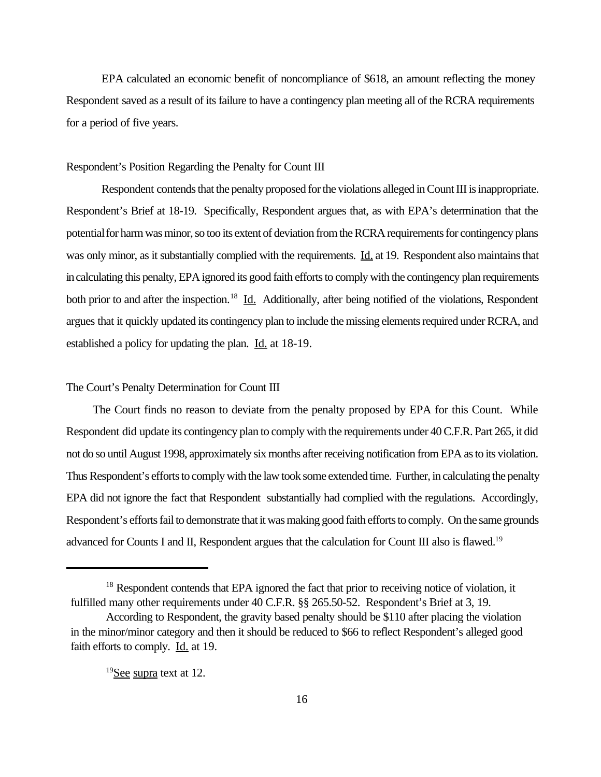EPA calculated an economic benefit of noncompliance of \$618, an amount reflecting the money Respondent saved as a result of its failure to have a contingency plan meeting all of the RCRA requirements for a period of five years.

### Respondent's Position Regarding the Penalty for Count III

Respondent contends that the penalty proposed for the violations alleged in Count III is inappropriate. Respondent's Brief at 18-19. Specifically, Respondent argues that, as with EPA's determination that the potential for harm was minor, so too its extent of deviation from the RCRA requirements for contingency plans was only minor, as it substantially complied with the requirements. Id. at 19. Respondent also maintains that in calculating this penalty, EPA ignored its good faith efforts to comply with the contingency plan requirements both prior to and after the inspection.<sup>18</sup> Id. Additionally, after being notified of the violations, Respondent argues that it quickly updated its contingency plan to include the missing elements required under RCRA, and established a policy for updating the plan. Id. at 18-19.

### The Court's Penalty Determination for Count III

 The Court finds no reason to deviate from the penalty proposed by EPA for this Count. While Respondent did update its contingency plan to comply with the requirements under 40 C.F.R. Part 265, it did not do so until August 1998, approximately six months after receiving notification from EPA as to its violation. Thus Respondent's efforts to comply with the law took some extended time. Further, in calculating the penalty EPA did not ignore the fact that Respondent substantially had complied with the regulations. Accordingly, Respondent's efforts fail to demonstrate that it was making good faith efforts to comply. On the same grounds advanced for Counts I and II, Respondent argues that the calculation for Count III also is flawed.<sup>19</sup>

<sup>&</sup>lt;sup>18</sup> Respondent contends that EPA ignored the fact that prior to receiving notice of violation, it fulfilled many other requirements under 40 C.F.R. §§ 265.50-52. Respondent's Brief at 3, 19.

According to Respondent, the gravity based penalty should be \$110 after placing the violation in the minor/minor category and then it should be reduced to \$66 to reflect Respondent's alleged good faith efforts to comply. Id. at 19.

<sup>&</sup>lt;sup>19</sup>See supra text at 12.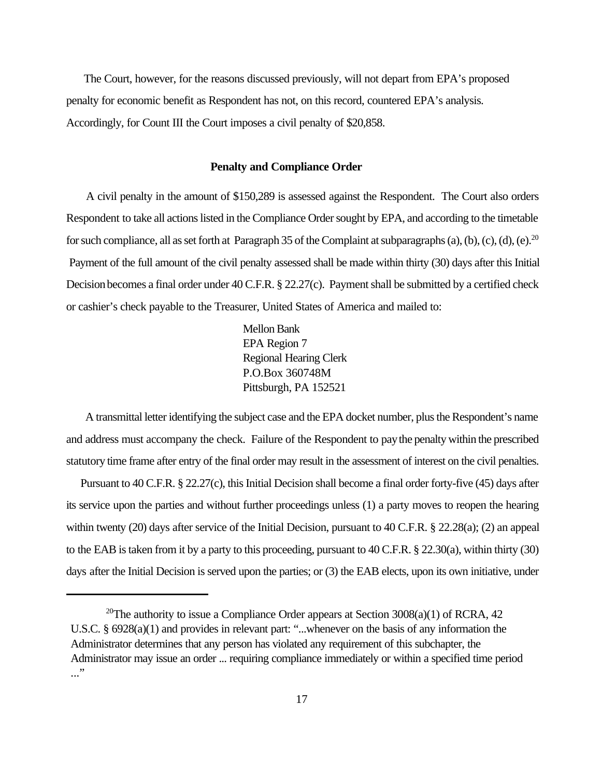The Court, however, for the reasons discussed previously, will not depart from EPA's proposed penalty for economic benefit as Respondent has not, on this record, countered EPA's analysis. Accordingly, for Count III the Court imposes a civil penalty of \$20,858.

## **Penalty and Compliance Order**

 A civil penalty in the amount of \$150,289 is assessed against the Respondent. The Court also orders Respondent to take all actions listed in the Compliance Order sought by EPA, and according to the timetable for such compliance, all as set forth at Paragraph 35 of the Complaint at subparagraphs (a), (b), (c), (d), (e).<sup>20</sup> Payment of the full amount of the civil penalty assessed shall be made within thirty (30) days after this Initial Decision becomes a final order under 40 C.F.R. § 22.27(c). Payment shall be submitted by a certified check or cashier's check payable to the Treasurer, United States of America and mailed to:

> Mellon Bank **EPA Region 7** Regional Hearing Clerk P.O.Box 360748M Pittsburgh, PA 152521

 A transmittal letter identifying the subject case and the EPA docket number, plus the Respondent's name and address must accompany the check. Failure of the Respondent to pay the penalty within the prescribed statutory time frame after entry of the final order may result in the assessment of interest on the civil penalties.

 Pursuant to 40 C.F.R. § 22.27(c), this Initial Decision shall become a final order forty-five (45) days after its service upon the parties and without further proceedings unless (1) a party moves to reopen the hearing within twenty (20) days after service of the Initial Decision, pursuant to 40 C.F.R. § 22.28(a); (2) an appeal to the EAB is taken from it by a party to this proceeding, pursuant to 40 C.F.R. § 22.30(a), within thirty (30) days after the Initial Decision is served upon the parties; or (3) the EAB elects, upon its own initiative, under

<sup>&</sup>lt;sup>20</sup>The authority to issue a Compliance Order appears at Section  $3008(a)(1)$  of RCRA, 42 U.S.C. § 6928(a)(1) and provides in relevant part: "...whenever on the basis of any information the Administrator determines that any person has violated any requirement of this subchapter, the Administrator may issue an order ... requiring compliance immediately or within a specified time period ..."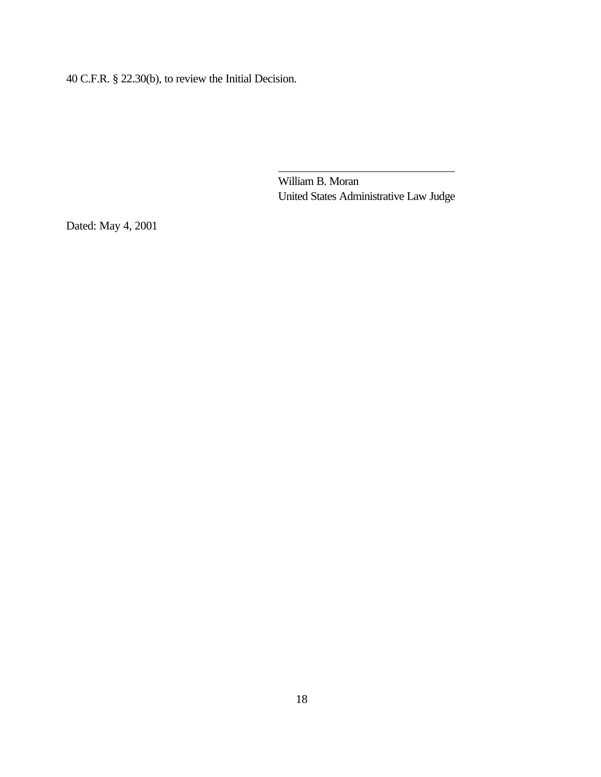40 C.F.R. § 22.30(b), to review the Initial Decision.

 William B. Moran United States Administrative Law Judge

Dated: May 4, 2001